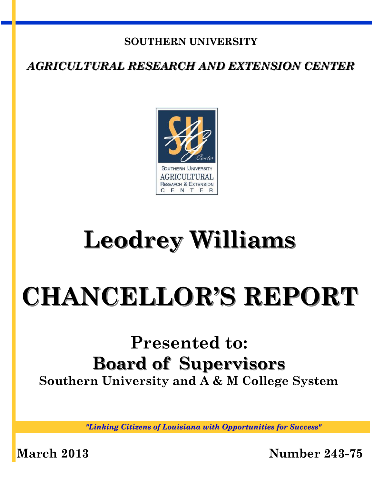## **SOUTHERN UNIVERSITY**

*AGRICULTURAL RESEARCH AND EXTENSION CENTER*



## **Leodrey Williams**

# **CHANCELLOR'S REPORT**

## **Presented to: Board of Supervisors Southern University and A & M College System**

*"Linking Citizens of Louisiana with Opportunities for Success"*

**March 2013 Number 243-75**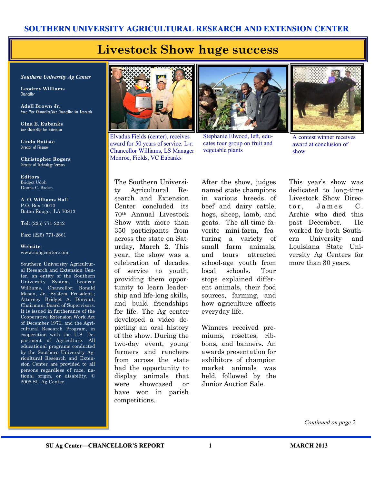#### **SOUTHERN UNIVERSITY AGRICULTURAL RESEARCH AND EXTENSION CENTER**

## **Livestock Show huge success**

*Southern University Ag Center*

**Leodrey Williams**  Chancellor

**Adell Brown Jr.**  Exec. Vice Chancellor/Vice Chancellor for Research

**Gina E. Eubanks** Vice Chancellor for Extension

**Linda Batiste** Director of Finance

**Christopher Rogers** Director of Technology Services

**Editors** Bridget Udoh Donna C. Badon

**A. O. Williams Hall** P.O. Box 10010 Baton Rouge, LA 70813

**Tel**: (225) 771-2242

**Fax**: (225) 771-2861

**Website**: www.suagcenter.com

Southern University Agricultural Research and Extension Center, an entity of the Southern University System, Leodrey Williams, Chancellor; Ronald Mason, Jr., System President,; Attorney Bridget A. Dinvaut, Chairman, Board of Supervisors. It is issued in furtherance of the Cooperative Extension Work Act of December 1971, and the Agricultural Research Program, in cooperation with the U.S. Department of Agriculture. All educational programs conducted by the Southern University Agricultural Research and Extension Center are provided to all persons regardless of race, national origin, or disability. © 2008 SU Ag Center.



Elvadus Fields (center), receives award for 50 years of service. L-r: Chancellor Williams, LS Manager Monroe, Fields, VC Eubanks



Stephanie Elwood, left, educates tour group on fruit and vegetable plants



A contest winner receives award at conclusion of show

The Southern University Agricultural Research and Extension Center concluded its 70th Annual Livestock Show with more than 350 participants from across the state on Saturday, March 2. This year, the show was a celebration of decades of service to youth, providing them opportunity to learn leadership and life-long skills, and build friendships for life. The Ag center developed a video depicting an oral history of the show. During the two-day event, young farmers and ranchers from across the state had the opportunity to display animals that were showcased or have won in parish competitions.

After the show, judges named state champions in various breeds of beef and dairy cattle, hogs, sheep, lamb, and goats. The all-time favorite mini-farm, featuring a variety of small farm animals, and tours attracted school-age youth from local schools. Tour stops explained different animals, their food sources, farming, and how agriculture affects everyday life.

Winners received premiums, rosettes, ribbons, and banners. An awards presentation for exhibitors of champion market animals was held, followed by the Junior Auction Sale.

This year's show was dedicated to long-time Livestock Show Director, James C. Archie who died this past December. He worked for both Southern University and Louisiana State University Ag Centers for more than 30 years.

*Continued on page 2*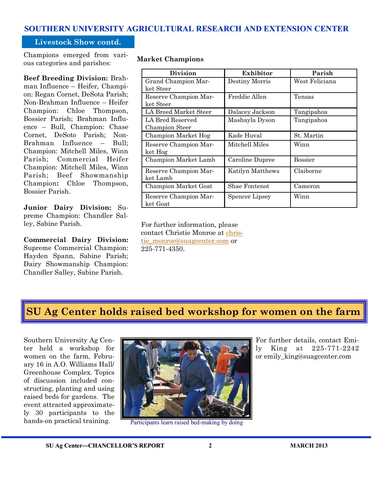#### **SOUTHERN UNIVERSITY AGRICULTURAL RESEARCH AND EXTENSION CENTER**

#### **Livestock Show contd.**

Champions emerged from various categories and parishes:

**Beef Breeding Division:** Brahman Influence – Heifer, Champion: Regan Cornet, DeSota Parish; Non-Brahman Influence – Heifer Champion: Chloe Thompson, Bossier Parish; Brahman Influence – Bull, Champion: Chase Cornet, DeSoto Parish; Non-Brahman Influence – Bull; Champion: Mitchell Miles, Winn Parish; Commercial Heifer Champion: Mitchell Miles, Winn Parish; Beef Showmanship Champion**:** Chloe Thompson, Bossier Parish.

**Junior Dairy Division:** Supreme Champion: Chandler Salley, Sabine Parish.

**Commercial Dairy Division:**  Supreme Commercial Champion: Hayden Spann, Sabine Parish; Dairy Showmanship Champion: Chandler Salley, Sabine Parish.

**Market Champions**

| <b>Division</b>       | Exhibitor        | Parish         |
|-----------------------|------------------|----------------|
| Grand Champion Mar-   | Destiny Morris   | West Feliciana |
| ket Steer             |                  |                |
| Reserve Champion Mar- | Freddie Allen    | Tensas         |
| ket Steer             |                  |                |
| LA Breed Market Steer | Dalacey Jackson  | Tangipahoa     |
| LA Bred Reserved      | Mashayla Dyson   | Tangipahoa     |
| Champion Steer        |                  |                |
| Champion Market Hog   | Kade Huval       | St. Martin     |
| Reserve Champion Mar- | Mitchell Miles   | Winn           |
| ket Hog               |                  |                |
| Champion Market Lamb  | Caroline Dupree  | <b>Bossier</b> |
| Reserve Champion Mar- | Katilyn Matthews | Claiborne      |
| ket Lamb              |                  |                |
| Champion Market Goat  | Shae Fontenot    | Cameron        |
| Reserve Champion Mar- | Spencer Lipsey   | Winn           |
| ket Goat              |                  |                |

For further information, please contact Christie Monroe at [chris](mailto:christie_monroe@suagcenter.com)[tie\\_monroe@suagcenter.com](mailto:christie_monroe@suagcenter.com) or 225-771-4350.

### **SU Ag Center holds raised bed workshop for women on the farm**

Southern University Ag Center held a workshop for women on the farm, February 16 in A.O. Williams Hall/ Greenhouse Complex. Topics of discussion included constructing, planting and using raised beds for gardens. The event attracted approximately 30 participants to the hands-on practical training.



Participants learn raised bed-making by doing

For further details, contact Emily King at 225-771-2242 or emily\_king@suagcenter.com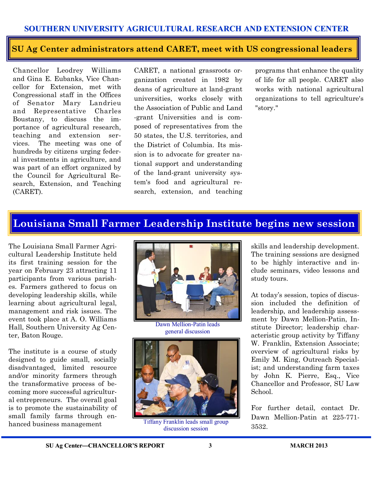#### **SOUTHERN UNIVERSITY AGRICULTURAL RESEARCH AND EXTENSION CENTER**

#### **SU Ag Center administrators attend CARET, meet with US congressional leaders**

Chancellor Leodrey Williams and Gina E. Eubanks, Vice Chancellor for Extension, met with Congressional staff in the Offices of Senator Mary Landrieu and Representative Charles Boustany, to discuss the importance of agricultural research, teaching and extension services. The meeting was one of hundreds by citizens urging federal investments in agriculture, and was part of an effort organized by the Council for Agricultural Research, Extension, and Teaching (CARET).

CARET, a national grassroots organization created in 1982 by deans of agriculture at land-grant universities, works closely with the Association of Public and Land -grant Universities and is composed of representatives from the 50 states, the U.S. territories, and the District of Columbia. Its mission is to advocate for greater national support and understanding of the land-grant university system's food and agricultural research, extension, and teaching

programs that enhance the quality of life for all people. CARET also works with national agricultural organizations to tell agriculture's "story."

## **Louisiana Small Farmer Leadership Institute begins new session**

The Louisiana Small Farmer Agricultural Leadership Institute held its first training session for the year on February 23 attracting 11 participants from various parishes. Farmers gathered to focus on developing leadership skills, while learning about agricultural legal, management and risk issues. The event took place at A. O. Williams Hall, Southern University Ag Center, Baton Rouge.

The institute is a course of study designed to guide small, socially disadvantaged, limited resource and/or minority farmers through the transformative process of becoming more successful agricultural entrepreneurs. The overall goal is to promote the sustainability of small family farms through enhanced business management



Dawn Mellion-Patin leads general discussion



Tiffany Franklin leads small group discussion session

skills and leadership development. The training sessions are designed to be highly interactive and include seminars, video lessons and study tours.

At today's session, topics of discussion included the definition of leadership, and leadership assessment by Dawn Mellion-Patin, Institute Director; leadership characteristic group activity by Tiffany W. Franklin, Extension Associate; overview of agricultural risks by Emily M. King, Outreach Specialist; and understanding farm taxes by John K. Pierre, Esq., Vice Chancellor and Professor, SU Law School.

For further detail, contact Dr. Dawn Mellion-Patin at 225-771- 3532.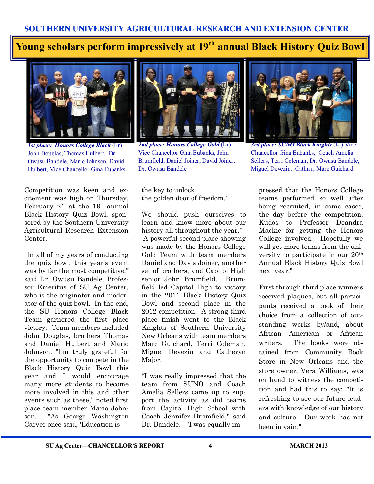## **Young scholars perform impressively at 19th annual Black History Quiz Bowl**



*1st place: Honors College Black* (l-r) John Douglas, Thomas Hulbert, Dr. Owusu Bandele, Mario Johnson, David Hulbert, Vice Chancellor Gina Eubanks

Competition was keen and excitement was high on Thursday, February 21 at the 19th annual Black History Quiz Bowl, sponsored by the Southern University Agricultural Research Extension Center.

"In all of my years of conducting the quiz bowl, this year's event was by far the most competitive," said Dr. Owusu Bandele, Professor Emeritus of SU Ag Center, who is the originator and moderator of the quiz bowl. In the end, the SU Honors College Black Team garnered the first place victory. Team members included John Douglas, brothers Thomas and Daniel Hulbert and Mario Johnson. "I'm truly grateful for the opportunity to compete in the Black History Quiz Bowl this year and I would encourage many more students to become more involved in this and other events such as these," noted first place team member Mario Johnson. "As George Washington Carver once said, 'Education is



*2nd place: Honors College Gold* (l-r) Vice Chancellor Gina Eubanks, John Brumfield, Daniel Joiner, David Joiner, Dr. Owusu Bandele

the key to unlock the golden door of freedom.'

We should push ourselves to learn and know more about our history all throughout the year." A powerful second place showing was made by the Honors College Gold Team with team members Daniel and Davis Joiner, another set of brothers, and Capitol High senior John Brumfield. Brumfield led Capitol High to victory in the 2011 Black History Quiz Bowl and second place in the 2012 competition. A strong third place finish went to the Black Knights of Southern University New Orleans with team members Marc Guichard, Terri Coleman, Miguel Devezin and Catheryn Major.

"I was really impressed that the team from SUNO and Coach Amelia Sellers came up to support the activity as did teams from Capitol High School with Coach Jennifer Brumfield," said Dr. Bandele. "I was equally im



*3rd place: SUNO Black Knights* (l-r) Vice Chancellor Gina Eubanks, Coach Amelia Sellers, Terri Coleman, Dr. Owusu Bandele, Miguel Devezin, Cathn r, Marc Guichard

pressed that the Honors College teams performed so well after being recruited, in some cases, the day before the competition. Kudos to Professor Deandra Mackie for getting the Honors College involved. Hopefully we will get more teams from the university to participate in our 20th Annual Black History Quiz Bowl next year."

First through third place winners received plaques, but all participants received a book of their choice from a collection of outstanding works by/and, about African American or African writers. The books were obtained from Community Book Store in New Orleans and the store owner, Vera Williams, was on hand to witness the competition and had this to say: "It is refreshing to see our future leaders with knowledge of our history and culture. Our work has not been in vain."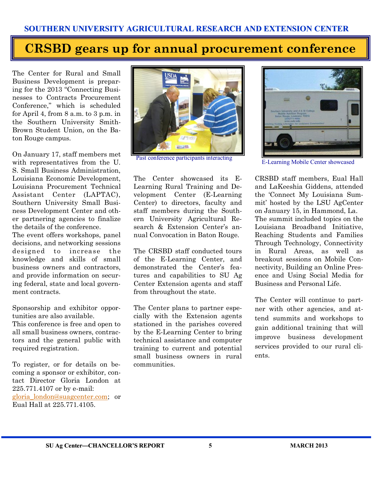## **CRSBD gears up for annual procurement conference**

The Center for Rural and Small Business Development is preparing for the 2013 "Connecting Businesses to Contracts Procurement Conference," which is scheduled for April 4, from 8 a.m. to 3 p.m. in the Southern University Smith-Brown Student Union, on the Baton Rouge campus.

On January 17, staff members met with representatives from the U. S. Small Business Administration, Louisiana Economic Development, Louisiana Procurement Technical Assistant Center (LAPTAC), Southern University Small Business Development Center and other partnering agencies to finalize the details of the conference.

The event offers workshops, panel decisions, and networking sessions designed to increase the knowledge and skills of small business owners and contractors, and provide information on securing federal, state and local government contracts.

Sponsorship and exhibitor opportunities are also available.

This conference is free and open to all small business owners, contractors and the general public with required registration.

To register, or for details on becoming a sponsor or exhibitor, contact Director Gloria London at 225.771.4107 or by e-mail: [gloria\\_london@suagcenter.com;](mailto:gloria_london@suagcenter.com) or Eual Hall at 225.771.4105.



Past conference participants interacting<br>E-Learning Mobile Center showcased

The Center showcased its E-Learning Rural Training and Development Center (E-Learning Center) to directors, faculty and staff members during the Southern University Agricultural Research & Extension Center's annual Convocation in Baton Rouge.

The CRSBD staff conducted tours of the E-Learning Center, and demonstrated the Center's features and capabilities to SU Ag Center Extension agents and staff from throughout the state.

The Center plans to partner especially with the Extension agents stationed in the parishes covered by the E-Learning Center to bring technical assistance and computer training to current and potential small business owners in rural communities.



CRSBD staff members, Eual Hall and LaKeeshia Giddens, attended the 'Connect My Louisiana Summit' hosted by the LSU AgCenter on January 15, in Hammond, La. The summit included topics on the Louisiana Broadband Initiative, Reaching Students and Families Through Technology, Connectivity in Rural Areas, as well as breakout sessions on Mobile Connectivity, Building an Online Presence and Using Social Media for Business and Personal Life.

The Center will continue to partner with other agencies, and attend summits and workshops to gain additional training that will improve business development services provided to our rural clients.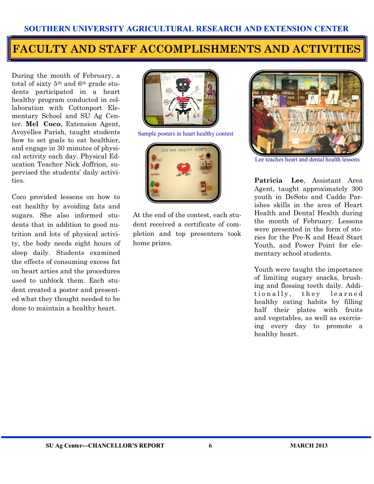## **FACULTY AND STAFF ACCOMPLISHMENTS AND ACTIVITIES Avoyelles Parish youth compete for top prize in heart health**

During the month of February, a total of sixty 5th and 6th grade students participated in a heart healthy program conducted in collaboration with Cottonport Elementary School and SU Ag Center. **Mel Coco**, Extension Agent, Avoyelles Parish, taught students how to set goals to eat healthier, and engage in 30 minutes of physical activity each day. Physical Education Teacher Nick Joffrion, supervised the students' daily activities.

Coco provided lessons on how to eat healthy by avoiding fats and sugars. She also informed students that in addition to good nutrition and lots of physical activity, the body needs eight hours of sleep daily. Students examined the effects of consuming excess fat on heart arties and the procedures used to unblock them. Each student created a poster and presented what they thought needed to be done to maintain a healthy heart.



Sample posters in heart healthy contest



At the end of the contest, each student received a certificate of completion and top presenters took home prizes.



Lee teaches heart and dental health lessons

**Patricia Lee**, Assistant Area Agent, taught approximately 300 youth in DeSoto and Caddo Parishes skills in the area of Heart Health and Dental Health during the month of February. Lessons were presented in the form of stories for the Pre-K and Head Start Youth, and Power Point for elementary school students.

Youth were taught the importance of limiting sugary snacks, brushing and flossing teeth daily. Additionally, they learned healthy eating habits by filling half their plates with fruits and vegetables, as well as exercising every day to promote a healthy heart.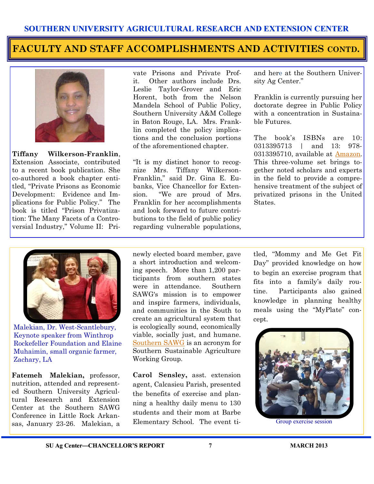#### **FACULTY AND STAFF ACCOMPLISHMENTS AND ACTIVITIES CONTD.**



**Tiffany Wilkerson-Franklin**, Extension Associate, contributed to a recent book publication. She co-authored a book chapter entitled, "Private Prisons as Economic Development: Evidence and Implications for Public Policy." The book is titled "Prison Privatization: The Many Facets of a Controversial Industry," Volume II: Pri-

vate Prisons and Private Profit. Other authors include Drs. Leslie Taylor-Grover and Eric Horent, both from the Nelson Mandela School of Public Policy, Southern University A&M College in Baton Rouge, LA. Mrs. Franklin completed the policy implications and the conclusion portions of the aforementioned chapter.

"It is my distinct honor to recognize Mrs. Tiffany Wilkerson-Franklin," said Dr. Gina E. Eubanks, Vice Chancellor for Extension. "We are proud of Mrs. Franklin for her accomplishments and look forward to future contributions to the field of public policy regarding vulnerable populations, and here at the Southern University Ag Center."

Franklin is currently pursuing her doctorate degree in Public Policy with a concentration in Sustainable Futures.

The book's ISBNs are 10: 0313395713 | and 13: 978- 0313395710, available at [Amazon.](http://www.amazon.com/Prison-Privatization-Facets-Controversial-Industry/dp/0313395713/ref=sr_1_fkmr0_1?s=books&ie=UTF8&qid=1359999490&sr=1-1-fkmr0&keywords=Prison+Privatization%3A++The+Many+Facets+of+a+Controversial+Industry%E2%80%9D%2C+Volume+II%3A++Private) This three-volume set brings together noted scholars and experts in the field to provide a comprehensive treatment of the subject of privatized prisons in the United States.



Malekian, Dr. West-Scantlebury, Keynote speaker from Winthrop Rockefeller Foundation and Elaine Muhaimin, small organic farmer, Zachary, LA

**Fatemeh Malekian,** professor, nutrition, attended and represented Southern University Agricultural Research and Extension Center at the Southern SAWG Conference in Little Rock Arkansas, January 23-26. Malekian, a newly elected board member, gave a short introduction and welcoming speech. More than 1,200 participants from southern states were in attendance. Southern SAWG's mission is to empower and inspire farmers, individuals, and communities in the South to create an agricultural system that is ecologically sound, economically viable, socially just, and humane. [Southern SAWG](http://www.ssawg.org/) is an acronym for Southern Sustainable Agriculture Working Group.

**Carol Sensley,** asst. extension agent, Calcasieu Parish, presented the benefits of exercise and planning a healthy daily menu to 130 students and their mom at Barbe Elementary School. The event titled, "Mommy and Me Get Fit Day" provided knowledge on how to begin an exercise program that fits into a family's daily routine. Participants also gained knowledge in planning healthy meals using the "MyPlate" concept.